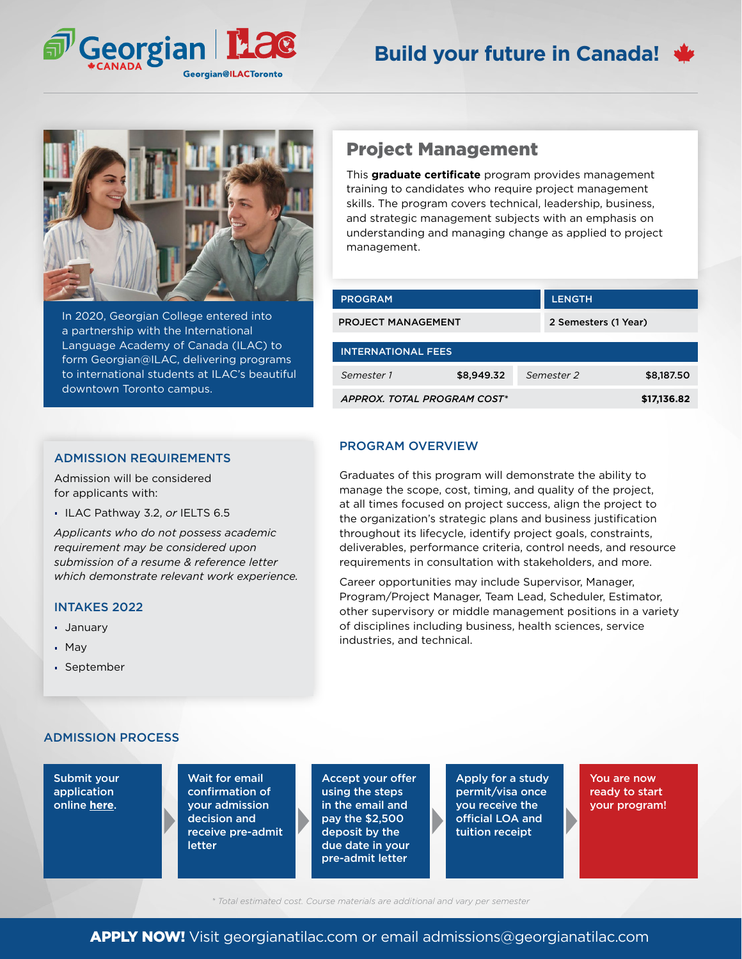



In 2020, Georgian College entered into a partnership with the International Language Academy of Canada (ILAC) to form Georgian@ILAC, delivering programs to international students at ILAC's beautiful downtown Toronto campus.

### ADMISSION REQUIREMENTS

Admission will be considered for applicants with:

ILAC Pathway 3.2, *or* IELTS 6.5

*Applicants who do not possess academic requirement may be considered upon submission of a resume & reference letter which demonstrate relevant work experience.*

#### INTAKES 2022

- January
- May
- September

# Project Management

This **graduate certificate** program provides management training to candidates who require project management skills. The program covers technical, leadership, business, and strategic management subjects with an emphasis on understanding and managing change as applied to project management.

| <b>PROGRAM</b>              |            | <b>LENGTH</b> |                      |  |
|-----------------------------|------------|---------------|----------------------|--|
| <b>PROJECT MANAGEMENT</b>   |            |               | 2 Semesters (1 Year) |  |
| <b>INTERNATIONAL FEES</b>   |            |               |                      |  |
| Semester 1                  | \$8,949.32 | Semester 2    | \$8,187.50           |  |
| APPROX. TOTAL PROGRAM COST* |            |               | \$17,136.82          |  |

### PROGRAM OVERVIEW

Graduates of this program will demonstrate the ability to manage the scope, cost, timing, and quality of the project, at all times focused on project success, align the project to the organization's strategic plans and business justification throughout its lifecycle, identify project goals, constraints, deliverables, performance criteria, control needs, and resource requirements in consultation with stakeholders, and more.

Career opportunities may include Supervisor, Manager, Program/Project Manager, Team Lead, Scheduler, Estimator, other supervisory or middle management positions in a variety of disciplines including business, health sciences, service industries, and technical.

## ADMISSION PROCESS

Submit your application online **[here](georgianatilac.com/international-student-application/)**.

Wait for email confirmation of your admission decision and receive pre-admit letter

Accept your offer using the steps in the email and pay the \$2,500 deposit by the due date in your pre-admit letter

Apply for a study permit/visa once you receive the official LOA and tuition receipt

You are now ready to start your program!

*\* Total estimated cost. Course materials are additional and vary per semester*